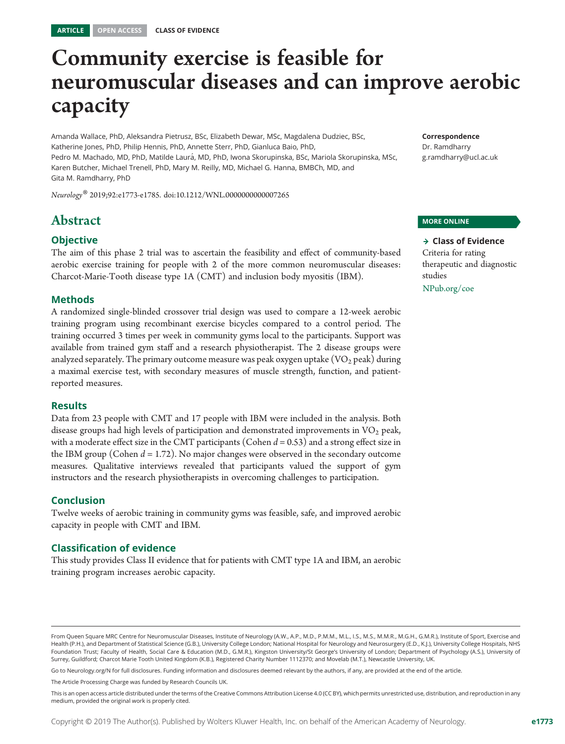## Community exercise is feasible for neuromuscular diseases and can improve aerobic capacity

Amanda Wallace, PhD, Aleksandra Pietrusz, BSc, Elizabeth Dewar, MSc, Magdalena Dudziec, BSc, Katherine Jones, PhD, Philip Hennis, PhD, Annette Sterr, PhD, Gianluca Baio, PhD, Pedro M. Machado, MD, PhD, Matilde Laur´a, MD, PhD, Iwona Skorupinska, BSc, Mariola Skorupinska, MSc, Karen Butcher, Michael Trenell, PhD, Mary M. Reilly, MD, Michael G. Hanna, BMBCh, MD, and Gita M. Ramdharry, PhD

Neurology® 2019;92:e1773-e1785. doi[:10.1212/WNL.0000000000007265](http://dx.doi.org/10.1212/WNL.0000000000007265)

## Abstract

#### **Objective**

The aim of this phase 2 trial was to ascertain the feasibility and effect of community-based aerobic exercise training for people with 2 of the more common neuromuscular diseases: Charcot-Marie-Tooth disease type 1A (CMT) and inclusion body myositis (IBM).

#### Methods

A randomized single-blinded crossover trial design was used to compare a 12-week aerobic training program using recombinant exercise bicycles compared to a control period. The training occurred 3 times per week in community gyms local to the participants. Support was available from trained gym staff and a research physiotherapist. The 2 disease groups were analyzed separately. The primary outcome measure was peak oxygen uptake  $(\rm{VO}_2 \, peak)$  during a maximal exercise test, with secondary measures of muscle strength, function, and patientreported measures.

#### Results

Data from 23 people with CMT and 17 people with IBM were included in the analysis. Both disease groups had high levels of participation and demonstrated improvements in  $VO<sub>2</sub>$  peak, with a moderate effect size in the CMT participants (Cohen  $d = 0.53$ ) and a strong effect size in the IBM group (Cohen  $d = 1.72$ ). No major changes were observed in the secondary outcome measures. Qualitative interviews revealed that participants valued the support of gym instructors and the research physiotherapists in overcoming challenges to participation.

#### Conclusion

Twelve weeks of aerobic training in community gyms was feasible, safe, and improved aerobic capacity in people with CMT and IBM.

#### Classification of evidence

This study provides Class II evidence that for patients with CMT type 1A and IBM, an aerobic training program increases aerobic capacity.

Correspondence Dr. Ramdharry [g.ramdharry@ucl.ac.uk](mailto:g.ramdharry@ucl.ac.uk)

#### MORE ONLINE

 $\rightarrow$  Class of Evidence Criteria for rating therapeutic and diagnostic studies [NPub.org/coe](http://NPub.org/coe)

Go to [Neurology.org/N](http://n.neurology.org/lookup/doi/10.1212/WNL.0000000000007265) for full disclosures. Funding information and disclosures deemed relevant by the authors, if any, are provided at the end of the article.

The Article Processing Charge was funded by Research Councils UK.

From Queen Square MRC Centre for Neuromuscular Diseases, Institute of Neurology (A.W., A.P., M.D., P.M.M., M.L., I.S., M.S., M.M.R., M.G.H., G.M.R.), Institute of Sport, Exercise and Health (P.H.), and Department of Statistical Science (G.B.), University College London; National Hospital for Neurology and Neurosurgery (E.D., K.J.), University College Hospitals, NHS Foundation Trust; Faculty of Health, Social Care & Education (M.D., G.M.R.), Kingston University/St George's University of London; Department of Psychology (A.S.), University of Surrey, Guildford; Charcot Marie Tooth United Kingdom (K.B.), Registered Charity Number 1112370; and Movelab (M.T.), Newcastle University, UK.

This is an open access article distributed under the terms of the [Creative Commons Attribution License 4.0 \(CC BY\),](http://creativecommons.org/licenses/by/4.0/) which permits unrestricted use, distribution, and reproduction in any medium, provided the original work is properly cited.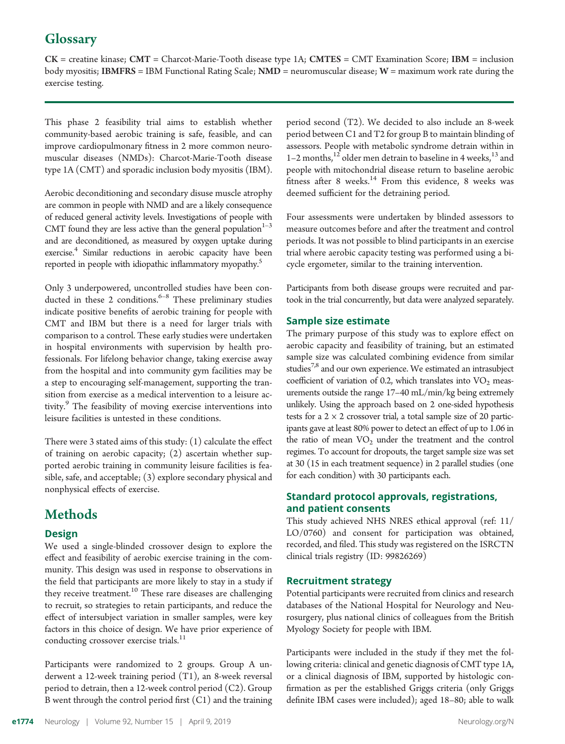## **Glossary**

CK = creatine kinase; CMT = Charcot-Marie-Tooth disease type 1A; CMTES = CMT Examination Score; IBM = inclusion body myositis; IBMFRS = IBM Functional Rating Scale; NMD = neuromuscular disease; W = maximum work rate during the exercise testing.

This phase 2 feasibility trial aims to establish whether community-based aerobic training is safe, feasible, and can improve cardiopulmonary fitness in 2 more common neuromuscular diseases (NMDs): Charcot-Marie-Tooth disease type 1A (CMT) and sporadic inclusion body myositis (IBM).

Aerobic deconditioning and secondary disuse muscle atrophy are common in people with NMD and are a likely consequence of reduced general activity levels. Investigations of people with CMT found they are less active than the general population $1-3$ and are deconditioned, as measured by oxygen uptake during exercise.<sup>4</sup> Similar reductions in aerobic capacity have been reported in people with idiopathic inflammatory myopathy.<sup>5</sup>

Only 3 underpowered, uncontrolled studies have been conducted in these 2 conditions. $6-8$  These preliminary studies indicate positive benefits of aerobic training for people with CMT and IBM but there is a need for larger trials with comparison to a control. These early studies were undertaken in hospital environments with supervision by health professionals. For lifelong behavior change, taking exercise away from the hospital and into community gym facilities may be a step to encouraging self-management, supporting the transition from exercise as a medical intervention to a leisure activity.<sup>9</sup> The feasibility of moving exercise interventions into leisure facilities is untested in these conditions.

There were 3 stated aims of this study: (1) calculate the effect of training on aerobic capacity; (2) ascertain whether supported aerobic training in community leisure facilities is feasible, safe, and acceptable; (3) explore secondary physical and nonphysical effects of exercise.

## Methods

#### Design

We used a single-blinded crossover design to explore the effect and feasibility of aerobic exercise training in the community. This design was used in response to observations in the field that participants are more likely to stay in a study if they receive treatment.<sup>10</sup> These rare diseases are challenging to recruit, so strategies to retain participants, and reduce the effect of intersubject variation in smaller samples, were key factors in this choice of design. We have prior experience of conducting crossover exercise trials.<sup>11</sup>

Participants were randomized to 2 groups. Group A underwent a 12-week training period (T1), an 8-week reversal period to detrain, then a 12-week control period (C2). Group B went through the control period first (C1) and the training period second (T2). We decided to also include an 8-week period between C1 and T2 for group B to maintain blinding of assessors. People with metabolic syndrome detrain within in 1–2 months,<sup>12</sup> older men detrain to baseline in 4 weeks,<sup>13</sup> and people with mitochondrial disease return to baseline aerobic fitness after 8 weeks. $14$  From this evidence, 8 weeks was deemed sufficient for the detraining period.

Four assessments were undertaken by blinded assessors to measure outcomes before and after the treatment and control periods. It was not possible to blind participants in an exercise trial where aerobic capacity testing was performed using a bicycle ergometer, similar to the training intervention.

Participants from both disease groups were recruited and partook in the trial concurrently, but data were analyzed separately.

#### Sample size estimate

The primary purpose of this study was to explore effect on aerobic capacity and feasibility of training, but an estimated sample size was calculated combining evidence from similar studies<sup>7,8</sup> and our own experience. We estimated an intrasubject coefficient of variation of 0.2, which translates into  $VO<sub>2</sub>$  measurements outside the range 17–40 mL/min/kg being extremely unlikely. Using the approach based on 2 one-sided hypothesis tests for a  $2 \times 2$  crossover trial, a total sample size of 20 participants gave at least 80% power to detect an effect of up to 1.06 in the ratio of mean  $VO<sub>2</sub>$  under the treatment and the control regimes. To account for dropouts, the target sample size was set at 30 (15 in each treatment sequence) in 2 parallel studies (one for each condition) with 30 participants each.

#### Standard protocol approvals, registrations, and patient consents

This study achieved NHS NRES ethical approval (ref: 11/ LO/0760) and consent for participation was obtained, recorded, and filed. This study was registered on the ISRCTN clinical trials registry (ID: 99826269)

#### Recruitment strategy

Potential participants were recruited from clinics and research databases of the National Hospital for Neurology and Neurosurgery, plus national clinics of colleagues from the British Myology Society for people with IBM.

Participants were included in the study if they met the following criteria: clinical and genetic diagnosis of CMT type 1A, or a clinical diagnosis of IBM, supported by histologic confirmation as per the established Griggs criteria (only Griggs definite IBM cases were included); aged 18–80; able to walk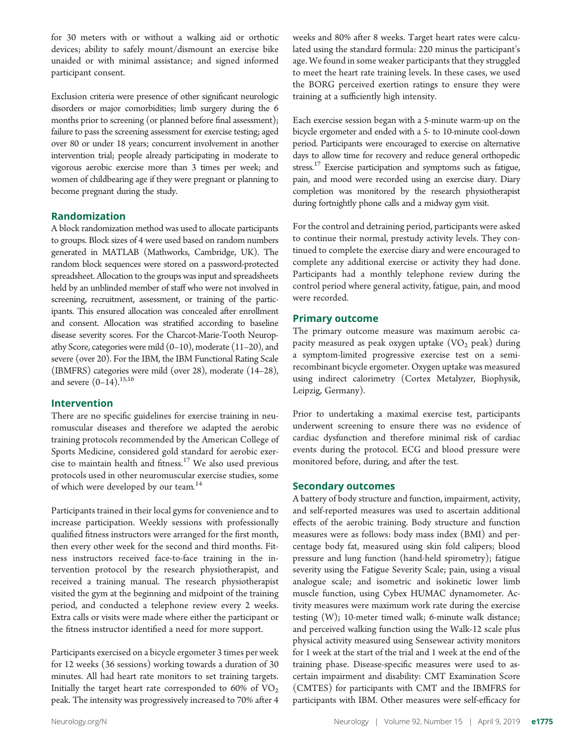for 30 meters with or without a walking aid or orthotic devices; ability to safely mount/dismount an exercise bike unaided or with minimal assistance; and signed informed participant consent.

Exclusion criteria were presence of other significant neurologic disorders or major comorbidities; limb surgery during the 6 months prior to screening (or planned before final assessment); failure to pass the screening assessment for exercise testing; aged over 80 or under 18 years; concurrent involvement in another intervention trial; people already participating in moderate to vigorous aerobic exercise more than 3 times per week; and women of childbearing age if they were pregnant or planning to become pregnant during the study.

#### Randomization

A block randomization method was used to allocate participants to groups. Block sizes of 4 were used based on random numbers generated in MATLAB (Mathworks, Cambridge, UK). The random block sequences were stored on a password-protected spreadsheet. Allocation to the groups was input and spreadsheets held by an unblinded member of staff who were not involved in screening, recruitment, assessment, or training of the participants. This ensured allocation was concealed after enrollment and consent. Allocation was stratified according to baseline disease severity scores. For the Charcot-Marie-Tooth Neuropathy Score, categories were mild (0–10), moderate (11–20), and severe (over 20). For the IBM, the IBM Functional Rating Scale (IBMFRS) categories were mild (over 28), moderate (14–28), and severe  $(0-14)$ .<sup>15,16</sup>

#### Intervention

There are no specific guidelines for exercise training in neuromuscular diseases and therefore we adapted the aerobic training protocols recommended by the American College of Sports Medicine, considered gold standard for aerobic exercise to maintain health and fitness.<sup>17</sup> We also used previous protocols used in other neuromuscular exercise studies, some of which were developed by our team.<sup>14</sup>

Participants trained in their local gyms for convenience and to increase participation. Weekly sessions with professionally qualified fitness instructors were arranged for the first month, then every other week for the second and third months. Fitness instructors received face-to-face training in the intervention protocol by the research physiotherapist, and received a training manual. The research physiotherapist visited the gym at the beginning and midpoint of the training period, and conducted a telephone review every 2 weeks. Extra calls or visits were made where either the participant or the fitness instructor identified a need for more support.

Participants exercised on a bicycle ergometer 3 times per week for 12 weeks (36 sessions) working towards a duration of 30 minutes. All had heart rate monitors to set training targets. Initially the target heart rate corresponded to  $60\%$  of  $VO<sub>2</sub>$ peak. The intensity was progressively increased to 70% after 4

weeks and 80% after 8 weeks. Target heart rates were calculated using the standard formula: 220 minus the participant's age. We found in some weaker participants that they struggled to meet the heart rate training levels. In these cases, we used the BORG perceived exertion ratings to ensure they were training at a sufficiently high intensity.

Each exercise session began with a 5-minute warm-up on the bicycle ergometer and ended with a 5- to 10-minute cool-down period. Participants were encouraged to exercise on alternative days to allow time for recovery and reduce general orthopedic stress.<sup>17</sup> Exercise participation and symptoms such as fatigue, pain, and mood were recorded using an exercise diary. Diary completion was monitored by the research physiotherapist during fortnightly phone calls and a midway gym visit.

For the control and detraining period, participants were asked to continue their normal, prestudy activity levels. They continued to complete the exercise diary and were encouraged to complete any additional exercise or activity they had done. Participants had a monthly telephone review during the control period where general activity, fatigue, pain, and mood were recorded.

#### Primary outcome

The primary outcome measure was maximum aerobic capacity measured as peak oxygen uptake  $(VO<sub>2</sub>$  peak) during a symptom-limited progressive exercise test on a semirecombinant bicycle ergometer. Oxygen uptake was measured using indirect calorimetry (Cortex Metalyzer, Biophysik, Leipzig, Germany).

Prior to undertaking a maximal exercise test, participants underwent screening to ensure there was no evidence of cardiac dysfunction and therefore minimal risk of cardiac events during the protocol. ECG and blood pressure were monitored before, during, and after the test.

#### Secondary outcomes

A battery of body structure and function, impairment, activity, and self-reported measures was used to ascertain additional effects of the aerobic training. Body structure and function measures were as follows: body mass index (BMI) and percentage body fat, measured using skin fold calipers; blood pressure and lung function (hand-held spirometry); fatigue severity using the Fatigue Severity Scale; pain, using a visual analogue scale; and isometric and isokinetic lower limb muscle function, using Cybex HUMAC dynamometer. Activity measures were maximum work rate during the exercise testing (W); 10-meter timed walk; 6-minute walk distance; and perceived walking function using the Walk-12 scale plus physical activity measured using Sensewear activity monitors for 1 week at the start of the trial and 1 week at the end of the training phase. Disease-specific measures were used to ascertain impairment and disability: CMT Examination Score (CMTES) for participants with CMT and the IBMFRS for participants with IBM. Other measures were self-efficacy for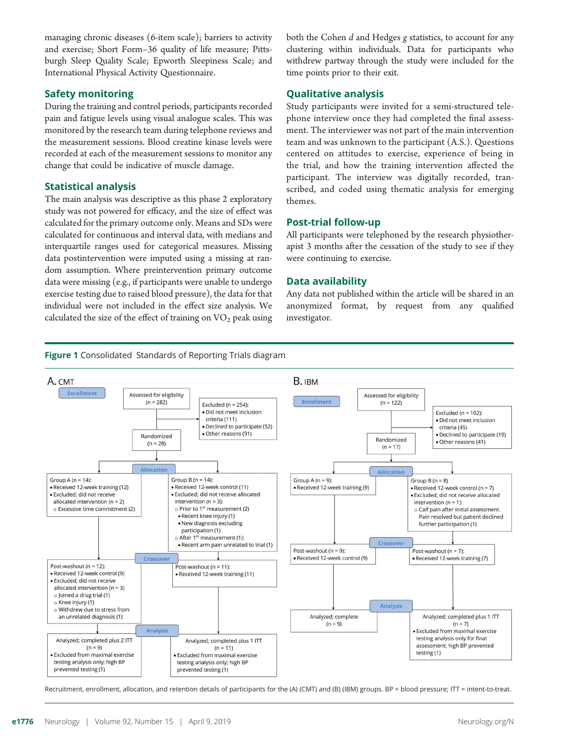managing chronic diseases (6-item scale); barriers to activity and exercise; Short Form–36 quality of life measure; Pittsburgh Sleep Quality Scale; Epworth Sleepiness Scale; and International Physical Activity Questionnaire.

#### Safety monitoring

During the training and control periods, participants recorded pain and fatigue levels using visual analogue scales. This was monitored by the research team during telephone reviews and the measurement sessions. Blood creatine kinase levels were recorded at each of the measurement sessions to monitor any change that could be indicative of muscle damage.

#### Statistical analysis

The main analysis was descriptive as this phase 2 exploratory study was not powered for efficacy, and the size of effect was calculated for the primary outcome only. Means and SDs were calculated for continuous and interval data, with medians and interquartile ranges used for categorical measures. Missing data postintervention were imputed using a missing at random assumption. Where preintervention primary outcome data were missing (e.g., if participants were unable to undergo exercise testing due to raised blood pressure), the data for that individual were not included in the effect size analysis. We calculated the size of the effect of training on  $VO<sub>2</sub>$  peak using both the Cohen d and Hedges g statistics, to account for any clustering within individuals. Data for participants who withdrew partway through the study were included for the time points prior to their exit.

#### Qualitative analysis

Study participants were invited for a semi-structured telephone interview once they had completed the final assessment. The interviewer was not part of the main intervention team and was unknown to the participant (A.S.). Questions centered on attitudes to exercise, experience of being in the trial, and how the training intervention affected the participant. The interview was digitally recorded, transcribed, and coded using thematic analysis for emerging themes.

#### Post-trial follow-up

All participants were telephoned by the research physiotherapist 3 months after the cessation of the study to see if they were continuing to exercise.

#### Data availability

Any data not published within the article will be shared in an anonymized format, by request from any qualified investigator.

#### Figure 1 Consolidated Standards of Reporting Trials diagram



Recruitment, enrollment, allocation, and retention details of participants for the (A) (CMT) and (B) (IBM) groups. BP = blood pressure; ITT = intent-to-treat.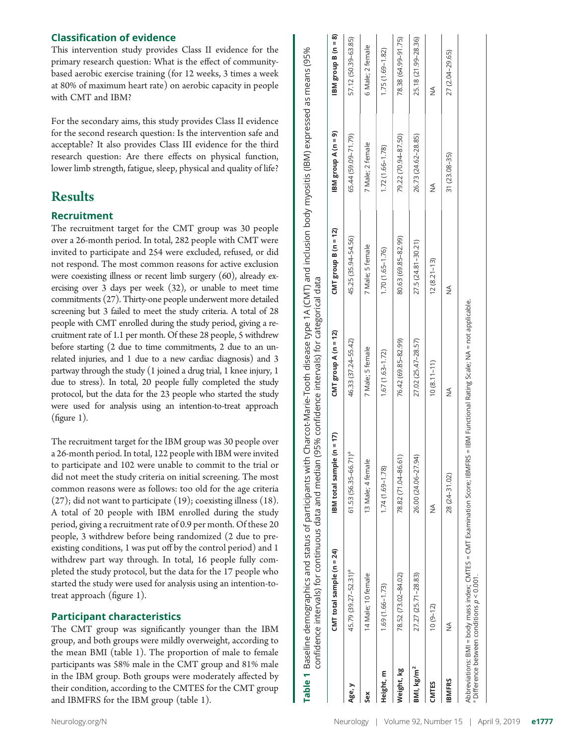#### Classification of evidence

This intervention study provides Class II evidence for the primary research question: What is the effect of communitybased aerobic exercise training (for 12 weeks, 3 times a week at 80% of maximum heart rate) on aerobic capacity in people with CMT and IBM?

For the secondary aims, this study provides Class II evidence for the second research question: Is the intervention safe and acceptable? It also provides Class III evidence for the third research question: Are there effects on physical function, lower limb strength, fatigue, sleep, physical and quality of life?

## Results

#### Recruitment

The recruitment target for the CMT group was 30 people over a 26-month period. In total, 282 people with CMT were invited to participate and 254 were excluded, refused, or did not respond. The most common reasons for active exclusion were coexisting illness or recent limb surgery (60), already exercising over 3 days per week (32), or unable to meet time commitments (27). Thirty-one people underwent more detailed screening but 3 failed to meet the study criteria. A total of 28 people with CMT enrolled during the study period, giving a recruitment rate of 1.1 per month. Of these 28 people, 5 withdrew before starting (2 due to time commitments, 2 due to an unrelated injuries, and 1 due to a new cardiac diagnosis) and 3 partway through the study (1 joined a drug trial, 1 knee injury, 1 due to stress). In total, 20 people fully completed the study protocol, but the data for the 23 people who started the study were used for analysis using an intention-to-treat approach (figure 1).

The recruitment target for the IBM group was 30 people over a 26-month period. In total, 122 people with IBM were invited to participate and 102 were unable to commit to the trial or did not meet the study criteria on initial screening. The most common reasons were as follows: too old for the age criteria (27); did not want to participate (19); coexisting illness (18). A total of 20 people with IBM enrolled during the study period, giving a recruitment rate of 0.9 per month. Of these 20 people, 3 withdrew before being randomized (2 due to preexisting conditions, 1 was put off by the control period) and 1 withdrew part way through. In total, 16 people fully completed the study protocol, but the data for the 17 people who started the study were used for analysis using an intention-totreat approach (figure 1).

#### Participant characteristics

The CMT group was significantly younger than the IBM group, and both groups were mildly overweight, according to the mean BMI (table 1). The proportion of male to female participants was 58% male in the CMT group and 81% male in the IBM group. Both groups were moderately affected by their condition, according to the CMTES for the CMT group and IBMFRS for the IBM group (table 1).

 $BN$  group B (n = 8) CMT total sample (n = 24) IBM total sample (n = 17) CMT group A (n = 12) CMT group B (n = 12) IBM group A (n = 9) IBM group B (n = 8) Age, y 45.79 (39.27–52.31)a 61.53 (56.35–66.71)a 46.33 (37.24–55.42) 45.25 (35.94–54.56) 65.44 (59.09–71.79) 57.12 (50.39–63.85) 78.38 (64.99-91.75) Weight, kg 78.52 (73.02–84.02) 78.82 (71.04–86.61) 76.42 (69.85–82.99) 80.63 (69.85–82.99) 79.22 (70.94–87.50) 78.38 (64.99–91.75) 25.18 (21.99-28.36) BMI, kg/m<sup>2</sup> 27.27 (25.71–28.83) 26.00 (24.06–27.94.81 27.02 (25.47–28.57) 27.02 (25.47–28.57) 26.73 (24.82–28.85) 26.73 (24.62–28.85) 25.18 (21.99–28.36) 57.12 (50.39-63.85) 5 Male; 2 female Sex 14 Male; 10 female 13 Male; 4 female 7 Male; 5 female 7 Male; 5 female 7 Male; 5 female 7 Male; 2 female 6 Male; 2 female .75 (1.69-1.82) Baseline demographics and status of participants with Charcot-Marie-Tooth disease type 1A (CMT) and inclusion body myositis (IBM) expressed as means (95% Table 1 Baseline demographics and status of participants with Charcot-Marie-Tooth disease type 1A (CMT) and inclusion body myositis (IBM) expressed as means (95% Height, m 1.69 (1.66–1.73) 1.74 (1.69–1.78) 1.67 (1.63–1.72) 1.70 (1.65–1.76) 1.72 (1.66–1.78) 1.75 (1.69–1.82) 27 (2.04-29.65) IBMFRS NA NA 28 (21–21–210/2001/27 (21–21–210/2001/27 (21–21–210/2001/27 (21–21–21–210/2001/21–21–2001/2001/20<br>IBMFRS NA  $\frac{1}{2}$ CMTES 10 (9–12) NA 10 (8.11–11) 12 (8.21–13) NA NA BM group A (n = 9) 79.22 (70.94-87.50) 26.73 (24.62-28.85) 55.44 (59.09-71.79) 7 Male; 2 female  $.72(1.66 - 1.78)$ 31 (23.08-35)  $\frac{1}{2}$ CMT group B ( $n = 12$ ) 45.25 (35.94-54.56) 80.63 (69.85-82.99) 27.5 (24.81-30.21) 7 Male; 5 female  $.70(1.65 - 1.76)$  $12(8.21 - 13)$ confidence intervals) for continuous data and median (95% confidence intervals) for categorical data confidence intervals) for continuous data and median (95% confidence intervals) for categorical data  $\lessgtr$ CMT group  $A(n = 12)$ 16.33 (37.24-55.42) 76.42 (69.85-82.99) 27.02 (25.47-28.57) 7 Male; 5 female  $.67(1.63 - 1.72)$  $10(8.11 - 11)$  $\leq$ BM total sample (n = 17) 61.53 (56.35-66.71)<sup>a</sup> 78.82 (71.04-86.61) 26.00 (24.06-27.94) 13 Male; 4 female 1.74 (1.69-1.78) 28 (24-31.02)  $\frac{1}{2}$  $CMT$  total sample ( $n = 24$ ) I5.79 (39.27-52.31)<sup>a</sup> 78.52 (73.02-84.02) 27.27 (25.71-28.83) 4 Male; 10 female  $1.69(1.66 - 1.73)$  $10(9-12)$  $\frac{1}{2}$ BMI, kg/m<sup>2</sup> Weight, kg Height, m Table 1 **IBMFRS CIVITES** Age, y

Sex

Abbreviations: BMI = body mass index; CMTES = CMT Examination Score; IBMFRS = IBM Functional Rating Scale; NA = not applicable. Abbreviations: BMI = body mass index; CMTES = CMT Examination Score; IBMFRS = IBM Functional Rating Scale; NA = not applicable.<br>• Difference between conditions *p <* 0.001.  $^{\circ}$  Difference between conditions  $\rho$  < 0.001.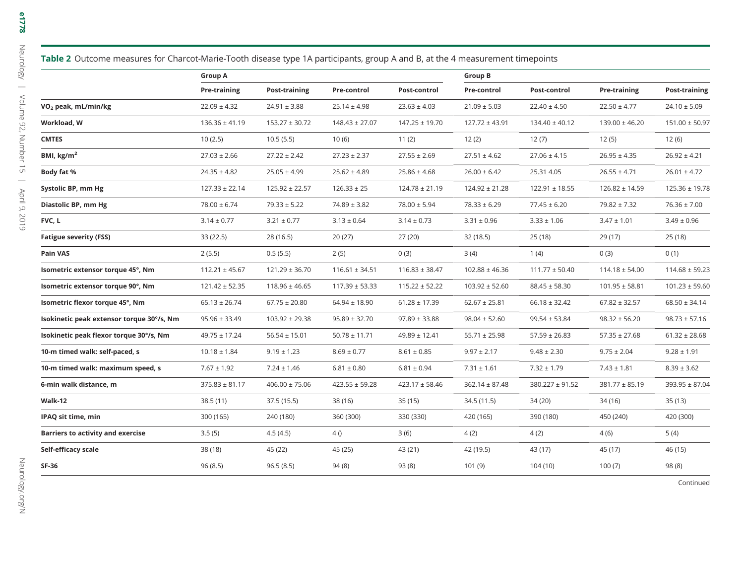|                                          | <b>Group A</b>      |                    |                    |                    | <b>Group B</b>     |                     |                    |                    |
|------------------------------------------|---------------------|--------------------|--------------------|--------------------|--------------------|---------------------|--------------------|--------------------|
|                                          | <b>Pre-training</b> | Post-training      | Pre-control        | Post-control       | Pre-control        | Post-control        | Pre-training       | Post-training      |
| VO <sub>2</sub> peak, mL/min/kg          | $22.09 \pm 4.32$    | $24.91 \pm 3.88$   | $25.14 \pm 4.98$   | $23.63 \pm 4.03$   | $21.09 \pm 5.03$   | $22.40 \pm 4.50$    | $22.50 \pm 4.77$   | $24.10 \pm 5.09$   |
| Workload, W                              | $136.36 \pm 41.19$  | $153.27 \pm 30.72$ | $148.43 \pm 27.07$ | $147.25 \pm 19.70$ | $127.72 \pm 43.91$ | $134.40 \pm 40.12$  | $139.00 \pm 46.20$ | $151.00 \pm 50.97$ |
| <b>CMTES</b>                             | 10(2.5)             | 10.5(5.5)          | 10(6)              | 11(2)              | 12(2)              | 12(7)               | 12(5)              | 12(6)              |
| BMI, kg/m <sup>2</sup>                   | $27.03 \pm 2.66$    | $27.22 \pm 2.42$   | $27.23 \pm 2.37$   | $27.55 \pm 2.69$   | $27.51 \pm 4.62$   | $27.06 \pm 4.15$    | $26.95 \pm 4.35$   | $26.92 \pm 4.21$   |
| Body fat %                               | $24.35 \pm 4.82$    | $25.05 \pm 4.99$   | $25.62 \pm 4.89$   | $25.86 \pm 4.68$   | $26.00 \pm 6.42$   | 25.31 4.05          | $26.55 \pm 4.71$   | $26.01 \pm 4.72$   |
| Systolic BP, mm Hg                       | $127.33 \pm 22.14$  | $125.92 \pm 22.57$ | $126.33 \pm 25$    | $124.78 \pm 21.19$ | $124.92 \pm 21.28$ | $122.91 \pm 18.55$  | $126.82 \pm 14.59$ | $125.36 \pm 19.78$ |
| Diastolic BP, mm Hg                      | $78.00 \pm 6.74$    | $79.33 \pm 5.22$   | $74.89 \pm 3.82$   | $78.00 \pm 5.94$   | $78.33 \pm 6.29$   | $77.45 \pm 6.20$    | $79.82 \pm 7.32$   | $76.36 \pm 7.00$   |
| FVC, L                                   | $3.14 \pm 0.77$     | $3.21 \pm 0.77$    | $3.13 \pm 0.64$    | $3.14 \pm 0.73$    | $3.31 \pm 0.96$    | $3.33 \pm 1.06$     | $3.47 \pm 1.01$    | $3.49 \pm 0.96$    |
| <b>Fatigue severity (FSS)</b>            | 33 (22.5)           | 28 (16.5)          | 20(27)             | 27(20)             | 32 (18.5)          | 25(18)              | 29 (17)            | 25 (18)            |
| Pain VAS                                 | 2(5.5)              | 0.5(5.5)           | 2(5)               | 0(3)               | 3(4)               | 1(4)                | 0(3)               | 0(1)               |
| Isometric extensor torque 45°, Nm        | $112.21 \pm 45.67$  | $121.29 \pm 36.70$ | $116.61 \pm 34.51$ | $116.83 \pm 38.47$ | $102.88 \pm 46.36$ | $111.77 \pm 50.40$  | $114.18 \pm 54.00$ | $114.68 \pm 59.23$ |
| sometric extensor torque 90°, Nm         | $121.42 \pm 52.35$  | $118.96 \pm 46.65$ | $117.39 \pm 53.33$ | $115.22 \pm 52.22$ | $103.92 \pm 52.60$ | $88.45 \pm 58.30$   | $101.95 \pm 58.81$ | $101.23 \pm 59.60$ |
| Isometric flexor torque 45°, Nm          | $65.13 \pm 26.74$   | $67.75 \pm 20.80$  | $64.94 \pm 18.90$  | $61.28 \pm 17.39$  | $62.67 \pm 25.81$  | $66.18 \pm 32.42$   | $67.82 \pm 32.57$  | $68.50 \pm 34.14$  |
| sokinetic peak extensor torque 30°/s, Nm | $95.96 \pm 33.49$   | $103.92 \pm 29.38$ | $95.89 \pm 32.70$  | $97.89 \pm 33.88$  | $98.04 \pm 52.60$  | $99.54 \pm 53.84$   | $98.32 \pm 56.20$  | $98.73 \pm 57.16$  |
| sokinetic peak flexor torque 30°/s, Nm   | $49.75 \pm 17.24$   | $56.54 \pm 15.01$  | $50.78 \pm 11.71$  | $49.89 \pm 12.41$  | $55.71 \pm 25.98$  | $57.59 \pm 26.83$   | $57.35 \pm 27.68$  | $61.32 \pm 28.68$  |
| 10-m timed walk: self-paced, s           | $10.18 \pm 1.84$    | $9.19 \pm 1.23$    | $8.69 \pm 0.77$    | $8.61 \pm 0.85$    | $9.97 \pm 2.17$    | $9.48 \pm 2.30$     | $9.75 \pm 2.04$    | $9.28 \pm 1.91$    |
| 10-m timed walk: maximum speed, s        | $7.67 \pm 1.92$     | $7.24 \pm 1.46$    | $6.81 \pm 0.80$    | $6.81 \pm 0.94$    | $7.31 \pm 1.61$    | $7.32 \pm 1.79$     | $7.43 \pm 1.81$    | $8.39 \pm 3.62$    |
| 6-min walk distance, m                   | $375.83 \pm 81.17$  | $406.00 \pm 75.06$ | $423.55 \pm 59.28$ | $423.17 \pm 58.46$ | $362.14 \pm 87.48$ | $380.227 \pm 91.52$ | $381.77 \pm 85.19$ | 393.95 ± 87.04     |
| Walk-12                                  | 38.5(11)            | 37.5 (15.5)        | 38 (16)            | 35(15)             | 34.5 (11.5)        | 34 (20)             | 34 (16)            | 35 (13)            |
| <b>PAQ sit time, min</b>                 | 300 (165)           | 240 (180)          | 360 (300)          | 330 (330)          | 420 (165)          | 390 (180)           | 450 (240)          | 420 (300)          |
| <b>Barriers to activity and exercise</b> | 3.5(5)              | 4.5(4.5)           | 4()                | 3(6)               | 4(2)               | 4(2)                | 4(6)               | 5(4)               |
| Self-efficacy scale                      | 38 (18)             | 45 (22)            | 45 (25)            | 43 (21)            | 42 (19.5)          | 43 (17)             | 45 (17)            | 46 (15)            |
| SF-36                                    | 96(8.5)             | 96.5(8.5)          | 94(8)              | 93(8)              | 101(9)             | 104 (10)            | 100(7)             | 98 (8)             |
|                                          |                     |                    |                    |                    |                    |                     |                    |                    |

e1778

Continued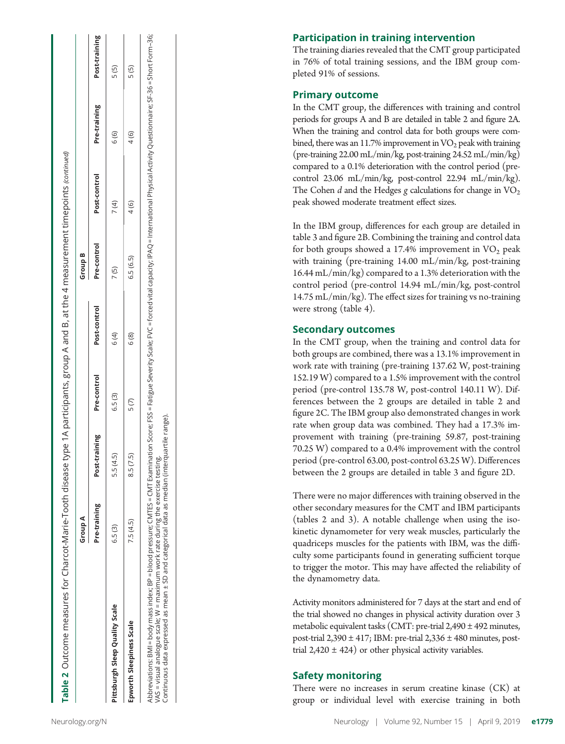|                                | Group A      |                           |        |              | Group B     |              |              |               |
|--------------------------------|--------------|---------------------------|--------|--------------|-------------|--------------|--------------|---------------|
|                                | Pre-training | Post-training Pre-control |        | Post-control | Pre-control | Post-control | Pre-training | Post-training |
| Pittsburgh Sleep Quality Scale | 6.5(3)       | 5.5 (4.5                  | 6.5(3) | 6 (4)        | 7(5)        | 7 (4)        | 6 (6)        | 5 (5)         |
| Epworth Sleepiness Scale       | 7.5 (4.5)    | 8.5 (7.5                  | 5(7)   | 6 (8)        | 6.5(6.5)    | 4(6)         | 4 (6)        | 5 (5)         |
|                                |              |                           |        |              |             |              |              |               |

#### Participation in training intervention

The training diaries revealed that the CMT group participated in 76% of total training sessions, and the IBM group completed 91% of sessions.

#### Primary outcome

In the CMT group, the di fferences with training and control periods for groups A and B are detailed in table 2 and figure 2A. When the training and control data for both groups were combined, there was an 11.7% improvement in  $VO<sub>2</sub>$  peak with training (pre-training 22.00 mL/min/kg, post-training 24.52 mL/min/kg) compared to a 0.1% deterioration with the control period (precontrol 23.06 mL/min/kg, post-control 22.94 mL/min/kg). The Cohen  $d$  and the Hedges  $g$  calculations for change in  $\text{VO}_2$ peak showed moderate treatment e ffect sizes.

In the IBM group, di fferences for each group are detailed in table 3 and figure 2B. Combining the training and control data for both groups showed a 17.4% improvement in  $\rm VO_2$  peak with training (pre-training 14.00 mL/min/kg, post-training 16.44 mL/min/kg) compared to a 1.3% deterioration with the control period (pre-control 14.94 mL/min/kg, post-control 14.75 mL/min/kg). The e ffect sizes for training vs no-training were strong (table 4).

#### Secondary outcomes

In the CMT group, when the training and control data for both groups are combined, there was a 13.1% improvement in work rate with training (pre-training 137.62 W, post-training 152.19 W) compared to a 1.5% improvement with the control period (pre-control 135.78 W, post-control 140.11 W). Differences between the 2 groups are detailed in table 2 and figure 2C. The IBM group also demonstrated changes in work rate when group data was combined. They had a 17.3% improvement with training (pre-training 59.87, post-training 70.25 W) compared to a 0.4% improvement with the control period (pre-control 63.00, post-control 63.25 W). Di fferences between the 2 groups are detailed in table 3 and figure 2D.

There were no major di fferences with training observed in the other secondary measures for the CMT and IBM participants (tables 2 and 3). A notable challenge when using the isokinetic dynamometer for very weak muscles, particularly the quadriceps muscles for the patients with IBM, was the di ffi culty some participants found in generating su fficient torque to trigger the motor. This may have a ffected the reliability of the dynamometry data.

Activity monitors administered for 7 days at the start and end of the trial showed no changes in physical activity duration over 3 metabolic equivalent tasks (CMT: pre-trial 2,490 ± 492 minutes, post-trial  $2,390 \pm 417$ ; IBM: pre-trial  $2,336 \pm 480$  minutes, posttrial  $2,420 \pm 424$ ) or other physical activity variables.

### Safety monitoring

There were no increases in serum creatine kinase (CK) at group or individual level with exercise training in both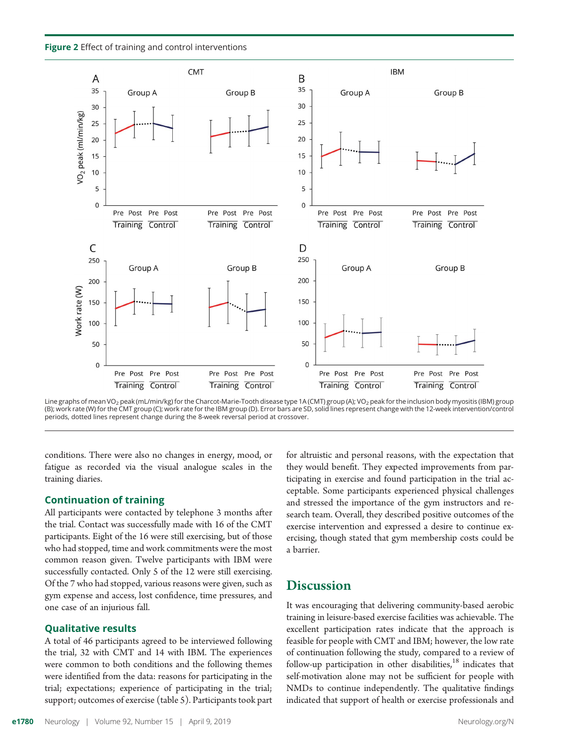Figure 2 Effect of training and control interventions



Line graphs of mean VO<sub>2</sub> peak (mL/min/kg) for the Charcot-Marie-Tooth disease type 1A (CMT) group (A); VO<sub>2</sub> peak for the inclusion body myositis (IBM) group (B); work rate (W) for the CMT group (C); work rate for the IBM group (D). Error bars are SD, solid lines represent change with the 12-week intervention/control periods, dotted lines represent change during the 8-week reversal period at crossover.

conditions. There were also no changes in energy, mood, or fatigue as recorded via the visual analogue scales in the training diaries.

#### Continuation of training

All participants were contacted by telephone 3 months after the trial. Contact was successfully made with 16 of the CMT participants. Eight of the 16 were still exercising, but of those who had stopped, time and work commitments were the most common reason given. Twelve participants with IBM were successfully contacted. Only 5 of the 12 were still exercising. Of the 7 who had stopped, various reasons were given, such as gym expense and access, lost confidence, time pressures, and one case of an injurious fall.

#### Qualitative results

A total of 46 participants agreed to be interviewed following the trial, 32 with CMT and 14 with IBM. The experiences were common to both conditions and the following themes were identified from the data: reasons for participating in the trial; expectations; experience of participating in the trial; support; outcomes of exercise (table 5). Participants took part

for altruistic and personal reasons, with the expectation that they would benefit. They expected improvements from participating in exercise and found participation in the trial acceptable. Some participants experienced physical challenges and stressed the importance of the gym instructors and research team. Overall, they described positive outcomes of the exercise intervention and expressed a desire to continue exercising, though stated that gym membership costs could be a barrier.

#### **Discussion**

It was encouraging that delivering community-based aerobic training in leisure-based exercise facilities was achievable. The excellent participation rates indicate that the approach is feasible for people with CMT and IBM; however, the low rate of continuation following the study, compared to a review of follow-up participation in other disabilities, $18$  indicates that self-motivation alone may not be sufficient for people with NMDs to continue independently. The qualitative findings indicated that support of health or exercise professionals and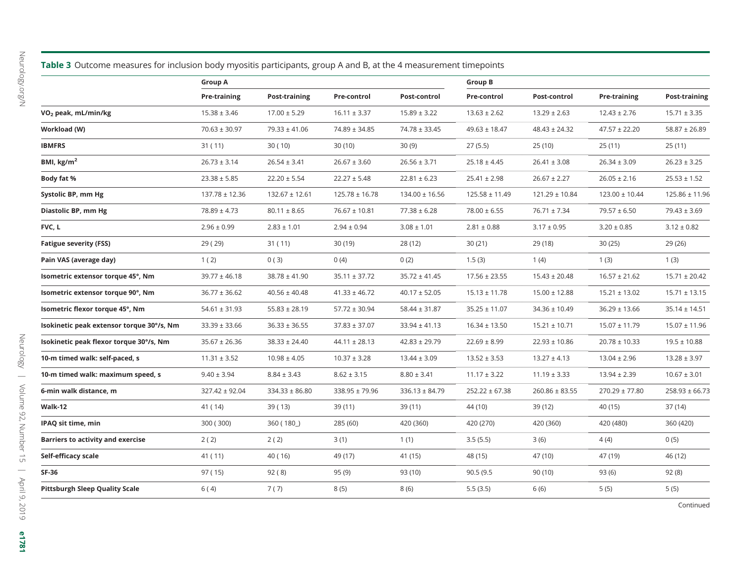Neurology.org/N [Neurology.org/N](http://neurology.org/n)

|                                           | Table 3 Outcome measures for inclusion body myositis participants, group A and B, at the 4 measurement timepoints |                    |                    |                    |                    |                    |                    |                      |
|-------------------------------------------|-------------------------------------------------------------------------------------------------------------------|--------------------|--------------------|--------------------|--------------------|--------------------|--------------------|----------------------|
|                                           | <b>Group A</b>                                                                                                    |                    |                    |                    | Group B            |                    |                    |                      |
|                                           | Pre-training                                                                                                      | Post-training      | Pre-control        | Post-control       | Pre-control        | Post-control       | Pre-training       | <b>Post-training</b> |
| VO <sub>2</sub> peak, mL/min/kg           | $15.38 \pm 3.46$                                                                                                  | $17.00 \pm 5.29$   | $16.11 \pm 3.37$   | $15.89 \pm 3.22$   | $13.63 \pm 2.62$   | $13.29 \pm 2.63$   | $12.43 \pm 2.76$   | $15.71 \pm 3.35$     |
| Workload (W)                              | $70.63 \pm 30.97$                                                                                                 | $79.33 \pm 41.06$  | 74.89 ± 34.85      | $74.78 \pm 33.45$  | $49.63 \pm 18.47$  | $48.43 \pm 24.32$  | $47.57 \pm 22.20$  | $58.87 \pm 26.89$    |
| <b>IBMFRS</b>                             | 31 (11)                                                                                                           | 30(10)             | 30 (10)            | 30(9)              | 27 (5.5)           | 25 (10)            | 25(11)             | 25 (11)              |
| BMI, kg/m <sup>2</sup>                    | $26.73 \pm 3.14$                                                                                                  | $26.54 \pm 3.41$   | $26.67 \pm 3.60$   | $26.56 \pm 3.71$   | $25.18 \pm 4.45$   | $26.41 \pm 3.08$   | $26.34 \pm 3.09$   | $26.23 \pm 3.25$     |
| Body fat %                                | $23.38 \pm 5.85$                                                                                                  | $22.20 \pm 5.54$   | $22.27 \pm 5.48$   | $22.81 \pm 6.23$   | $25.41 \pm 2.98$   | $26.67 \pm 2.27$   | $26.05 \pm 2.16$   | $25.53 \pm 1.52$     |
| Systolic BP, mm Hg                        | $137.78 \pm 12.36$                                                                                                | $132.67 \pm 12.61$ | $125.78 \pm 16.78$ | $134.00 \pm 16.56$ | $125.58 \pm 11.49$ | 121.29 ± 10.84     | $123.00 \pm 10.44$ | $125.86 \pm 11.96$   |
| Diastolic BP, mm Hg                       | $78.89 \pm 4.73$                                                                                                  | $80.11 \pm 8.65$   | $76.67 \pm 10.81$  | $77.38 \pm 6.28$   | $78.00 \pm 6.55$   | $76.71 \pm 7.34$   | $79.57 \pm 6.50$   | $79.43 \pm 3.69$     |
| FVC, L                                    | $2.96 \pm 0.99$                                                                                                   | $2.83 \pm 1.01$    | $2.94 \pm 0.94$    | $3.08 \pm 1.01$    | $2.81 \pm 0.88$    | $3.17 \pm 0.95$    | $3.20 \pm 0.85$    | $3.12 \pm 0.82$      |
| <b>Fatigue severity (FSS)</b>             | 29 (29)                                                                                                           | 31 ( 11)           | 30 (19)            | 28 (12)            | 30 (21)            | 29 (18)            | 30 (25)            | 29 (26)              |
| Pain VAS (average day)                    | 1(2)                                                                                                              | 0(3)               | 0(4)               | 0(2)               | 1.5(3)             | 1(4)               | 1(3)               | 1(3)                 |
| Isometric extensor torque 45°, Nm         | $39.77 \pm 46.18$                                                                                                 | $38.78 \pm 41.90$  | $35.11 \pm 37.72$  | $35.72 \pm 41.45$  | $17.56 \pm 23.55$  | $15.43 \pm 20.48$  | $16.57 \pm 21.62$  | $15.71 \pm 20.42$    |
| Isometric extensor torque 90°, Nm         | $36.77 \pm 36.62$                                                                                                 | $40.56 \pm 40.48$  | $41.33 \pm 46.72$  | $40.17 \pm 52.05$  | $15.13 \pm 11.78$  | $15.00 \pm 12.88$  | $15.21 \pm 13.02$  | $15.71 \pm 13.15$    |
| Isometric flexor torque 45°, Nm           | $54.61 \pm 31.93$                                                                                                 | $55.83 \pm 28.19$  | $57.72 \pm 30.94$  | $58.44 \pm 31.87$  | $35.25 \pm 11.07$  | $34.36 \pm 10.49$  | $36.29 \pm 13.66$  | $35.14 \pm 14.51$    |
| Isokinetic peak extensor torque 30°/s, Nm | $33.39 \pm 33.66$                                                                                                 | $36.33 \pm 36.55$  | $37.83 \pm 37.07$  | $33.94 \pm 41.13$  | $16.34 \pm 13.50$  | $15.21 \pm 10.71$  | $15.07 \pm 11.79$  | $15.07 \pm 11.96$    |
| Isokinetic peak flexor torque 30°/s, Nm   | $35.67 \pm 26.36$                                                                                                 | $38.33 \pm 24.40$  | $44.11 \pm 28.13$  | $42.83 \pm 29.79$  | $22.69 \pm 8.99$   | $22.93 \pm 10.86$  | $20.78 \pm 10.33$  | $19.5 \pm 10.88$     |
| 10-m timed walk: self-paced, s            | $11.31 \pm 3.52$                                                                                                  | $10.98 \pm 4.05$   | $10.37 \pm 3.28$   | $13.44 \pm 3.09$   | $13.52 \pm 3.53$   | $13.27 \pm 4.13$   | $13.04 \pm 2.96$   | $13.28 \pm 3.97$     |
| 10-m timed walk: maximum speed, s         | $9.40 \pm 3.94$                                                                                                   | $8.84 \pm 3.43$    | $8.62 \pm 3.15$    | $8.80 \pm 3.41$    | $11.17 \pm 3.22$   | $11.19 \pm 3.33$   | $13.94 \pm 2.39$   | $10.67 \pm 3.01$     |
| 6-min walk distance, m                    | $327.42 \pm 92.04$                                                                                                | $334.33 \pm 86.80$ | $338.95 \pm 79.96$ | $336.13 \pm 84.79$ | $252.22 \pm 67.38$ | $260.86 \pm 83.55$ | $270.29 \pm 77.80$ | $258.93 \pm 66.73$   |
| Walk-12                                   | 41 ( 14)                                                                                                          | 39 (13)            | 39 (11)            | 39 (11)            | 44 (10)            | 39 (12)            | 40 (15)            | 37 (14)              |
| IPAQ sit time, min                        | 300 (300)                                                                                                         | 360(180)           | 285 (60)           | 420 (360)          | 420 (270)          | 420 (360)          | 420 (480)          | 360 (420)            |
| <b>Barriers to activity and exercise</b>  | 2(2)                                                                                                              | 2(2)               | 3(1)               | 1(1)               | 3.5(5.5)           | 3(6)               | 4(4)               | 0(5)                 |
| Self-efficacy scale                       | 41 (11)                                                                                                           | 40 (16)            | 49 (17)            | 41 (15)            | 48 (15)            | 47 (10)            | 47 (19)            | 46 (12)              |
| <b>SF-36</b>                              | 97 (15)                                                                                                           | 92(8)              | 95 (9)             | 93 (10)            | 90.5 (9.5          | 90 (10)            | 93 (6)             | 92 (8)               |
| <b>Pittsburgh Sleep Quality Scale</b>     | 6 (4)                                                                                                             | 7(7)               | 8(5)               | 8 (6)              | 5.5 (3.5)          | 6(6)               | 5(5)               | 5(5)                 |
|                                           |                                                                                                                   |                    |                    |                    |                    |                    |                    |                      |

e1781

Continued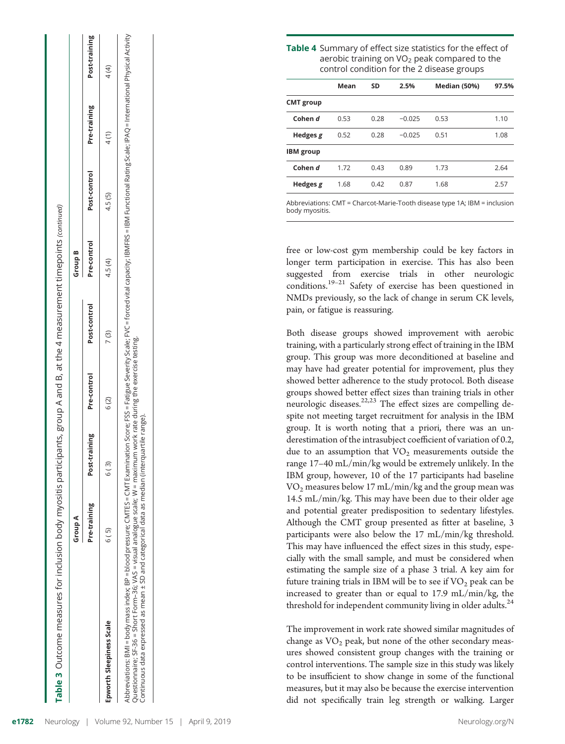|                                                                                                                                                                                                                                                                                                                                                                                                                                                    | Group A      |               |             |              | Group B     |              |              |               |
|----------------------------------------------------------------------------------------------------------------------------------------------------------------------------------------------------------------------------------------------------------------------------------------------------------------------------------------------------------------------------------------------------------------------------------------------------|--------------|---------------|-------------|--------------|-------------|--------------|--------------|---------------|
|                                                                                                                                                                                                                                                                                                                                                                                                                                                    | Pre-training | Post-training | Pre-control | Post-control | Pre-control | Post-control | Pre-training | Post-training |
| Epworth Sleepiness Scale                                                                                                                                                                                                                                                                                                                                                                                                                           | 6 (5)        | 6 (3)         | 6 (2)       | 7(3)         | 4.5(4)      | 4.5(5)       | 4(1)         | 4 (4)         |
| Abbreviations: BMI = bood pressure; CMTES = CMTES = CMTES = CMTExamination Score; FSS = Fatigue Severity Scale; FVC = forced vital capacity; IBMFRS = IBM Functional Rating Scale; IPAQ = International Physical Activity<br>Questionnaire; SF-36 = Short Form–36; VAS = visual analogue scale; W = maximum work rate during the exercise testing.<br>Continuous data expressed as mean ± SD and categorical data as median (interquartile range). |              |               |             |              |             |              |              |               |

| Table 4 Summary of effect size statistics for the effect of |
|-------------------------------------------------------------|
| aerobic training on $VO2$ peak compared to the              |
| control condition for the 2 disease groups                  |

|                  | Mean | <b>SD</b> | 2.5%     | <b>Median (50%)</b> | 97.5% |
|------------------|------|-----------|----------|---------------------|-------|
| <b>CMT</b> group |      |           |          |                     |       |
| Cohen d          | 0.53 | 0.28      | $-0.025$ | 0.53                | 1.10  |
| Hedges $g$       | 0.52 | 0.28      | $-0.025$ | 0.51                | 1.08  |
| <b>IBM</b> group |      |           |          |                     |       |
| Cohen d          | 1.72 | 0.43      | 0.89     | 1.73                | 2.64  |
| Hedges $g$       | 1.68 | 0.42      | 0.87     | 1.68                | 2.57  |
|                  |      |           |          |                     |       |

Abbreviations: CMT = Charcot-Marie-Tooth disease type 1A; IBM = inclusion body myositis.

free or low-cost gym membership could be key factors in longer term participation in exercise. This has also been suggested from exercise trials in other neurologic conditions.<sup>19–21</sup> Safety of exercise has been questioned in NMDs previously, so the lack of change in serum CK levels, pain, or fatigue is reassuring.

Both disease groups showed improvement with aerobic training, with a particularly strong effect of training in the IBM group. This group was more deconditioned at baseline and may have had greater potential for improvement, plus they showed better adherence to the study protocol. Both disease groups showed better effect sizes than training trials in other neurologic diseases.<sup>22,23</sup> The effect sizes are compelling despite not meeting target recruitment for analysis in the IBM group. It is worth noting that a priori, there was an underestimation of the intrasubject coefficient of variation of 0.2, due to an assumption that  $VO<sub>2</sub>$  measurements outside the range 17–40 mL/min/kg would be extremely unlikely. In the IBM group, however, 10 of the 17 participants had baseline  $VO<sub>2</sub>$  measures below 17 mL/min/kg and the group mean was 14.5 mL/min/kg. This may have been due to their older age and potential greater predisposition to sedentary lifestyles. Although the CMT group presented as fitter at baseline, 3 participants were also below the 17 mL/min/kg threshold. This may have influenced the effect sizes in this study, especially with the small sample, and must be considered when estimating the sample size of a phase 3 trial. A key aim for future training trials in IBM will be to see if  $VO<sub>2</sub>$  peak can be increased to greater than or equal to 17.9 mL/min/kg, the threshold for independent community living in older adults.<sup>24</sup>

The improvement in work rate showed similar magnitudes of change as  $VO<sub>2</sub>$  peak, but none of the other secondary measures showed consistent group changes with the training or control interventions. The sample size in this study was likely to be insufficient to show change in some of the functional measures, but it may also be because the exercise intervention did not specifically train leg strength or walking. Larger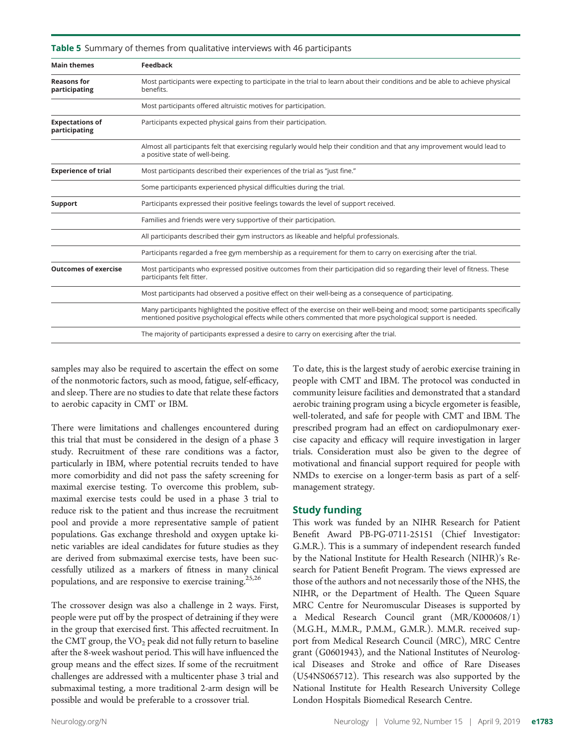| <b>Main themes</b>                      | <b>Feedback</b>                                                                                                                                                                                                                              |
|-----------------------------------------|----------------------------------------------------------------------------------------------------------------------------------------------------------------------------------------------------------------------------------------------|
| <b>Reasons for</b><br>participating     | Most participants were expecting to participate in the trial to learn about their conditions and be able to achieve physical<br>benefits.                                                                                                    |
|                                         | Most participants offered altruistic motives for participation.                                                                                                                                                                              |
| <b>Expectations of</b><br>participating | Participants expected physical gains from their participation.                                                                                                                                                                               |
|                                         | Almost all participants felt that exercising regularly would help their condition and that any improvement would lead to<br>a positive state of well-being.                                                                                  |
| <b>Experience of trial</b>              | Most participants described their experiences of the trial as "just fine."                                                                                                                                                                   |
|                                         | Some participants experienced physical difficulties during the trial.                                                                                                                                                                        |
| Support                                 | Participants expressed their positive feelings towards the level of support received.                                                                                                                                                        |
|                                         | Families and friends were very supportive of their participation.                                                                                                                                                                            |
|                                         | All participants described their gym instructors as likeable and helpful professionals.                                                                                                                                                      |
|                                         | Participants regarded a free gym membership as a requirement for them to carry on exercising after the trial.                                                                                                                                |
| <b>Outcomes of exercise</b>             | Most participants who expressed positive outcomes from their participation did so regarding their level of fitness. These<br>participants felt fitter.                                                                                       |
|                                         | Most participants had observed a positive effect on their well-being as a consequence of participating.                                                                                                                                      |
|                                         | Many participants highlighted the positive effect of the exercise on their well-being and mood; some participants specifically<br>mentioned positive psychological effects while others commented that more psychological support is needed. |
|                                         | The majority of participants expressed a desire to carry on exercising after the trial.                                                                                                                                                      |

**Table 5** Summary of themes from qualitative interviews with 46 participants

samples may also be required to ascertain the effect on some of the nonmotoric factors, such as mood, fatigue, self-efficacy, and sleep. There are no studies to date that relate these factors to aerobic capacity in CMT or IBM.

There were limitations and challenges encountered during this trial that must be considered in the design of a phase 3 study. Recruitment of these rare conditions was a factor, particularly in IBM, where potential recruits tended to have more comorbidity and did not pass the safety screening for maximal exercise testing. To overcome this problem, submaximal exercise tests could be used in a phase 3 trial to reduce risk to the patient and thus increase the recruitment pool and provide a more representative sample of patient populations. Gas exchange threshold and oxygen uptake kinetic variables are ideal candidates for future studies as they are derived from submaximal exercise tests, have been successfully utilized as a markers of fitness in many clinical populations, and are responsive to exercise training.<sup>25,26</sup>

The crossover design was also a challenge in 2 ways. First, people were put off by the prospect of detraining if they were in the group that exercised first. This affected recruitment. In the CMT group, the  $VO<sub>2</sub>$  peak did not fully return to baseline after the 8-week washout period. This will have influenced the group means and the effect sizes. If some of the recruitment challenges are addressed with a multicenter phase 3 trial and submaximal testing, a more traditional 2-arm design will be possible and would be preferable to a crossover trial.

To date, this is the largest study of aerobic exercise training in people with CMT and IBM. The protocol was conducted in community leisure facilities and demonstrated that a standard aerobic training program using a bicycle ergometer is feasible, well-tolerated, and safe for people with CMT and IBM. The prescribed program had an effect on cardiopulmonary exercise capacity and efficacy will require investigation in larger trials. Consideration must also be given to the degree of motivational and financial support required for people with NMDs to exercise on a longer-term basis as part of a selfmanagement strategy.

#### Study funding

This work was funded by an NIHR Research for Patient Benefit Award PB-PG-0711-25151 (Chief Investigator: G.M.R.). This is a summary of independent research funded by the National Institute for Health Research (NIHR)'s Research for Patient Benefit Program. The views expressed are those of the authors and not necessarily those of the NHS, the NIHR, or the Department of Health. The Queen Square MRC Centre for Neuromuscular Diseases is supported by a Medical Research Council grant (MR/K000608/1) (M.G.H., M.M.R., P.M.M., G.M.R.). M.M.R. received support from Medical Research Council (MRC), MRC Centre grant (G0601943), and the National Institutes of Neurological Diseases and Stroke and office of Rare Diseases (U54NS065712). This research was also supported by the National Institute for Health Research University College London Hospitals Biomedical Research Centre.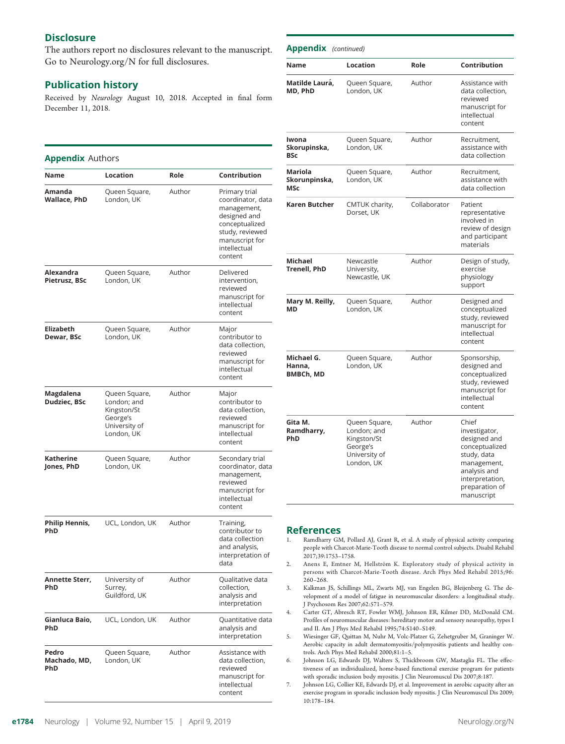#### **Disclosure**

The authors report no disclosures relevant to the manuscript. Go to [Neurology.org/N](http://n.neurology.org/lookup/doi/10.1212/WNL.0000000000007265) for full disclosures.

#### Publication history

Received by Neurology August 10, 2018. Accepted in final form December 11, 2018.

#### Appendix Authors

| Name                              | Location                                                                               | Role   | Contribution                                                                                                                                        |
|-----------------------------------|----------------------------------------------------------------------------------------|--------|-----------------------------------------------------------------------------------------------------------------------------------------------------|
| Amanda<br>Wallace, PhD            | Queen Square,<br>London, UK                                                            | Author | Primary trial<br>coordinator, data<br>management,<br>designed and<br>conceptualized<br>study, reviewed<br>manuscript for<br>intellectual<br>content |
| Alexandra<br><b>Pietrusz, BSc</b> | Queen Square,<br>London, UK                                                            | Author | Delivered<br>intervention,<br>reviewed<br>manuscript for<br>intellectual<br>content                                                                 |
| <b>Elizabeth</b><br>Dewar, BSc    | Queen Square,<br>London, UK                                                            | Author | Major<br>contributor to<br>data collection,<br>reviewed<br>manuscript for<br>intellectual<br>content                                                |
| Magdalena<br>Dudziec, BSc         | Queen Square,<br>London; and<br>Kingston/St<br>George's<br>University of<br>London, UK | Author | Major<br>contributor to<br>data collection.<br>reviewed<br>manuscript for<br>intellectual<br>content                                                |
| Katherine<br>Jones, PhD           | Queen Square,<br>London, UK                                                            | Author | Secondary trial<br>coordinator, data<br>management,<br>reviewed<br>manuscript for<br>intellectual<br>content                                        |
| Philip Hennis,<br>PhD             | UCL, London, UK                                                                        | Author | Training,<br>contributor to<br>data collection<br>and analysis,<br>interpretation of<br>data                                                        |
| Annette Sterr,<br><b>PhD</b>      | University of<br>Surrey,<br>Guildford, UK                                              | Author | Qualitative data<br>collection.<br>analysis and<br>interpretation                                                                                   |
| Gianluca Baio,<br><b>PhD</b>      | UCL, London, UK                                                                        | Author | Quantitative data<br>analysis and<br>interpretation                                                                                                 |
| Pedro<br>Machado, MD,<br>PhD      | Queen Square,<br>London, UK                                                            | Author | Assistance with<br>data collection,<br>reviewed<br>manuscript for<br>intellectual<br>content                                                        |

| <b>Appendix</b> (continued)              |                                                                                        |              |                                                                                                                                                           |
|------------------------------------------|----------------------------------------------------------------------------------------|--------------|-----------------------------------------------------------------------------------------------------------------------------------------------------------|
| Name                                     | Location                                                                               | Role         | <b>Contribution</b>                                                                                                                                       |
| Matilde Laurá,<br>MD. PhD                | Queen Square,<br>London, UK                                                            | Author       | Assistance with<br>data collection,<br>reviewed<br>manuscript for<br>intellectual<br>content                                                              |
| Iwona<br>Skorupinska,<br><b>BSc</b>      | Queen Square,<br>London, UK                                                            | Author       | Recruitment,<br>assistance with<br>data collection                                                                                                        |
| Mariola<br>Skorunpinska,<br><b>MSc</b>   | Queen Square,<br>London, UK                                                            | Author       | Recruitment.<br>assistance with<br>data collection                                                                                                        |
| Karen Butcher                            | CMTUK charity,<br>Dorset, UK                                                           | Collaborator | Patient<br>representative<br>involved in<br>review of design<br>and participant<br>materials                                                              |
| <b>Michael</b><br><b>Trenell, PhD</b>    | Newcastle<br>University,<br>Newcastle, UK                                              | Author       | Design of study,<br>exercise<br>physiology<br>support                                                                                                     |
| Mary M. Reilly,<br>MD                    | Queen Square,<br>London, UK                                                            | Author       | Designed and<br>conceptualized<br>study, reviewed<br>manuscript for<br>intellectual<br>content                                                            |
| Michael G.<br>Hanna,<br><b>BMBCh, MD</b> | Queen Square,<br>London, UK                                                            | Author       | Sponsorship,<br>designed and<br>conceptualized<br>study, reviewed<br>manuscript for<br>intellectual<br>content                                            |
| Gita M.<br>Ramdharry,<br>PhD             | Queen Square,<br>London; and<br>Kingston/St<br>George's<br>University of<br>London, UK | Author       | Chief<br>investigator,<br>designed and<br>conceptualized<br>study, data<br>management,<br>analysis and<br>interpretation,<br>preparation of<br>manuscript |

## References

- Ramdharry GM, Pollard AJ, Grant R, et al. A study of physical activity comparing people with Charcot-Marie-Tooth disease to normal control subjects. Disabil Rehabil 2017;39:1753–1758.
- 2. Anens E, Emtner M, Hellström K. Exploratory study of physical activity in persons with Charcot-Marie-Tooth disease. Arch Phys Med Rehabil 2015;96: 260–268.
- 3. Kalkman JS, Schillings ML, Zwarts MJ, van Engelen BG, Bleijenberg G. The development of a model of fatigue in neuromuscular disorders: a longitudinal study. J Psychosom Res 2007;62:571–579.
- 4. Carter GT, Abresch RT, Fowler WMJ, Johnson ER, Kilmer DD, McDonald CM. Profiles of neuromuscular diseases: hereditary motor and sensory neuropathy, types I and II. Am J Phys Med Rehabil 1995;74:S140–S149.
- 5. Wiesinger GF, Quittan M, Nuhr M, Volc-Platzer G, Zehetgruber M, Graninger W. Aerobic capacity in adult dermatomyositis/polymyositis patients and healthy controls. Arch Phys Med Rehabil 2000;81:1–5.
- 6. Johnson LG, Edwards DJ, Walters S, Thickbroom GW, Mastaglia FL. The effectiveness of an individualized, home-based functional exercise program for patients with sporadic inclusion body myositis. J Clin Neuromuscul Dis 2007;8:187.
- 7. Johnson LG, Collier KE, Edwards DJ, et al. Improvement in aerobic capacity after an exercise program in sporadic inclusion body myositis. J Clin Neuromuscul Dis 2009; 10:178–184.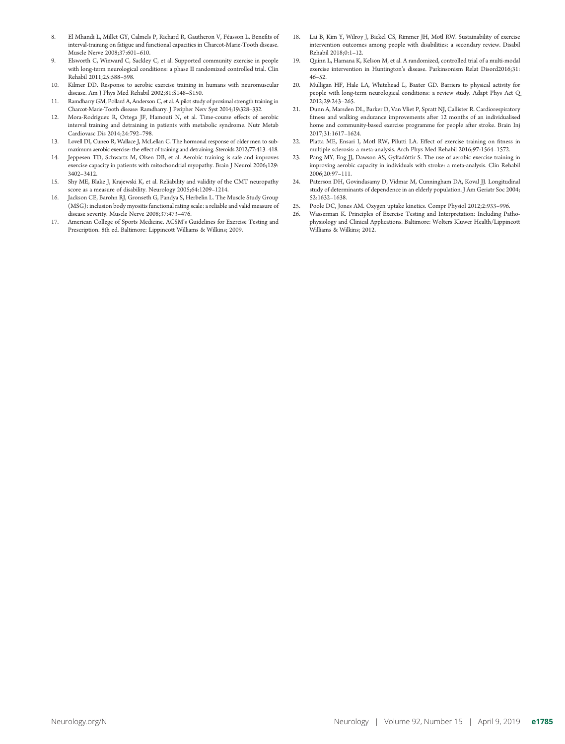- El Mhandi L, Millet GY, Calmels P, Richard R, Gautheron V, Féasson L. Benefits of interval-training on fatigue and functional capacities in Charcot-Marie-Tooth disease. Muscle Nerve 2008;37:601–610.
- 9. Elsworth C, Winward C, Sackley C, et al. Supported community exercise in people with long-term neurological conditions: a phase II randomized controlled trial. Clin Rehabil 2011;25:588–598.
- 10. Kilmer DD. Response to aerobic exercise training in humans with neuromuscular disease. Am J Phys Med Rehabil 2002;81:S148–S150.
- 11. Ramdharry GM, Pollard A, Anderson C, et al. A pilot study of proximal strength training in Charcot-Marie-Tooth disease: Ramdharry. J Peripher Nerv Syst 2014;19:328–332.
- 12. Mora-Rodriguez R, Ortega JF, Hamouti N, et al. Time-course effects of aerobic interval training and detraining in patients with metabolic syndrome. Nutr Metab Cardiovasc Dis 2014;24:792–798.
- 13. Lovell DI, Cuneo R, Wallace J, McLellan C. The hormonal response of older men to submaximum aerobic exercise: the effect of training and detraining. Steroids 2012;77:413–418.
- 14. Jeppesen TD, Schwartz M, Olsen DB, et al. Aerobic training is safe and improves exercise capacity in patients with mitochondrial myopathy. Brain J Neurol 2006;129: 3402–3412.
- 15. Shy ME, Blake J, Krajewski K, et al. Reliability and validity of the CMT neuropathy score as a measure of disability. Neurology 2005;64:1209–1214.
- 16. Jackson CE, Barohn RJ, Gronseth G, Pandya S, Herbelin L. The Muscle Study Group (MSG): inclusion body myositis functional rating scale: a reliable and valid measure of disease severity. Muscle Nerve 2008;37:473–476.
- 17. American College of Sports Medicine. ACSM's Guidelines for Exercise Testing and Prescription. 8th ed. Baltimore: Lippincott Williams & Wilkins; 2009.
- 18. Lai B, Kim Y, Wilroy J, Bickel CS, Rimmer JH, Motl RW. Sustainability of exercise intervention outcomes among people with disabilities: a secondary review. Disabil Rehabil 2018;0:1–12.
- 19. Quinn L, Hamana K, Kelson M, et al. A randomized, controlled trial of a multi-modal exercise intervention in Huntington's disease. Parkinsonism Relat Disord2016;31: 46–52.
- 20. Mulligan HF, Hale LA, Whitehead L, Baxter GD. Barriers to physical activity for people with long-term neurological conditions: a review study. Adapt Phys Act Q 2012;29:243–265.
- 21. Dunn A, Marsden DL, Barker D, Van Vliet P, Spratt NJ, Callister R. Cardiorespiratory fitness and walking endurance improvements after 12 months of an individualised home and community-based exercise programme for people after stroke. Brain Inj 2017;31:1617–1624.
- 22. Platta ME, Ensari I, Motl RW, Pilutti LA. Effect of exercise training on fitness in multiple sclerosis: a meta-analysis. Arch Phys Med Rehabil 2016;97:1564–1572.
- 23. Pang MY, Eng JJ, Dawson AS, Gylfadóttir S. The use of aerobic exercise training in improving aerobic capacity in individuals with stroke: a meta-analysis. Clin Rehabil 2006;20:97–111.
- 24. Paterson DH, Govindasamy D, Vidmar M, Cunningham DA, Koval JJ. Longitudinal study of determinants of dependence in an elderly population. J Am Geriatr Soc 2004; 52:1632–1638.
- 25. Poole DC, Jones AM. Oxygen uptake kinetics. Compr Physiol 2012;2:933–996.
- 26. Wasserman K. Principles of Exercise Testing and Interpretation: Including Pathophysiology and Clinical Applications. Baltimore: Wolters Kluwer Health/Lippincott Williams & Wilkins; 2012.